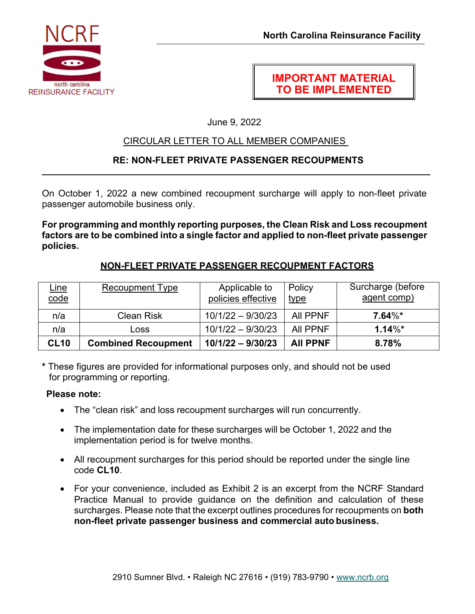

# **IMPORTANT MATERIAL TO BE IMPLEMENTED**

June 9, 2022

# CIRCULAR LETTER TO ALL MEMBER COMPANIES

# **RE: NON-FLEET PRIVATE PASSENGER RECOUPMENTS**

On October 1, 2022 a new combined recoupment surcharge will apply to non-fleet private passenger automobile business only.

**For programming and monthly reporting purposes, the Clean Risk and Loss recoupment factors are to be combined into a single factor and applied to non-fleet private passenger policies.** 

## **NON-FLEET PRIVATE PASSENGER RECOUPMENT FACTORS**

| <u>Line</u><br>code | <b>Recoupment Type</b>     | Applicable to<br>policies effective | Policy<br><u>type</u> | Surcharge (before<br>agent comp) |
|---------------------|----------------------------|-------------------------------------|-----------------------|----------------------------------|
| n/a                 | <b>Clean Risk</b>          | $10/1/22 - 9/30/23$                 | All PPNF              | $7.64\%*$                        |
| n/a                 | Loss                       | $10/1/22 - 9/30/23$                 | All PPNF              | $1.14\%*$                        |
| <b>CL10</b>         | <b>Combined Recoupment</b> | $10/1/22 - 9/30/23$                 | <b>AII PPNF</b>       | 8.78%                            |

**\*** These figures are provided for informational purposes only, and should not be used for programming or reporting.

#### **Please note:**

- The "clean risk" and loss recoupment surcharges will run concurrently.
- The implementation date for these surcharges will be October 1, 2022 and the implementation period is for twelve months.
- All recoupment surcharges for this period should be reported under the single line code **CL10**.
- For your convenience, included as Exhibit 2 is an excerpt from the NCRF Standard Practice Manual to provide guidance on the definition and calculation of these surcharges. Please note that the excerpt outlines procedures for recoupments on **both non-fleet private passenger business and commercial auto business.**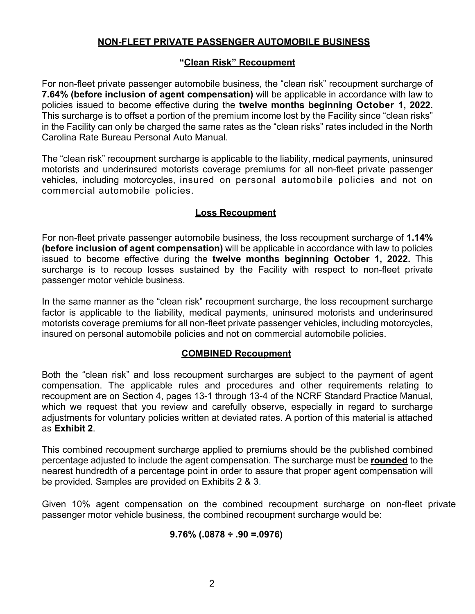## **NON-FLEET PRIVATE PASSENGER AUTOMOBILE BUSINESS**

#### **"Clean Risk" Recoupment**

For non-fleet private passenger automobile business, the "clean risk" recoupment surcharge of **7.64% (before inclusion of agent compensation)** will be applicable in accordance with law to policies issued to become effective during the **twelve months beginning October 1, 2022.**  This surcharge is to offset a portion of the premium income lost by the Facility since "clean risks" in the Facility can only be charged the same rates as the "clean risks" rates included in the North Carolina Rate Bureau Personal Auto Manual.

The "clean risk" recoupment surcharge is applicable to the liability, medical payments, uninsured motorists and underinsured motorists coverage premiums for all non-fleet private passenger vehicles, including motorcycles, insured on personal automobile policies and not on commercial automobile policies.

## **Loss Recoupment**

For non-fleet private passenger automobile business, the loss recoupment surcharge of **1.14% (before inclusion of agent compensation)** will be applicable in accordance with law to policies issued to become effective during the **twelve months beginning October 1, 2022.** This surcharge is to recoup losses sustained by the Facility with respect to non-fleet private passenger motor vehicle business.

In the same manner as the "clean risk" recoupment surcharge, the loss recoupment surcharge factor is applicable to the liability, medical payments, uninsured motorists and underinsured motorists coverage premiums for all non-fleet private passenger vehicles, including motorcycles, insured on personal automobile policies and not on commercial automobile policies.

## **COMBINED Recoupment**

Both the "clean risk" and loss recoupment surcharges are subject to the payment of agent compensation. The applicable rules and procedures and other requirements relating to recoupment are on Section 4, pages 13-1 through 13-4 of the NCRF Standard Practice Manual, which we request that you review and carefully observe, especially in regard to surcharge adjustments for voluntary policies written at deviated rates. A portion of this material is attached as **Exhibit 2**.

This combined recoupment surcharge applied to premiums should be the published combined percentage adjusted to include the agent compensation. The surcharge must be **rounded** to the nearest hundredth of a percentage point in order to assure that proper agent compensation will be provided. Samples are provided on Exhibits 2 & 3.

Given 10% agent compensation on the combined recoupment surcharge on non-fleet private passenger motor vehicle business, the combined recoupment surcharge would be:

## **9.76% (.0878 ÷ .90 =.0976)**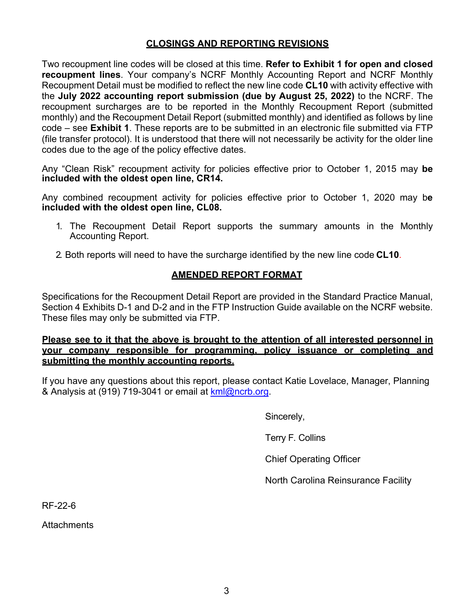#### **CLOSINGS AND REPORTING REVISIONS**

Two recoupment line codes will be closed at this time. **Refer to Exhibit 1 for open and closed recoupment lines**. Your company's NCRF Monthly Accounting Report and NCRF Monthly Recoupment Detail must be modified to reflect the new line code **CL10** with activity effective with the **July 2022 accounting report submission (due by August 25, 2022)** to the NCRF. The recoupment surcharges are to be reported in the Monthly Recoupment Report (submitted monthly) and the Recoupment Detail Report (submitted monthly) and identified as follows by line code – see **Exhibit 1**. These reports are to be submitted in an electronic file submitted via FTP (file transfer protocol). It is understood that there will not necessarily be activity for the older line codes due to the age of the policy effective dates.

Any "Clean Risk" recoupment activity for policies effective prior to October 1, 2015 may **be included with the oldest open line, CR14.** 

Any combined recoupment activity for policies effective prior to October 1, 2020 may b**e included with the oldest open line, CL08.** 

- 1. The Recoupment Detail Report supports the summary amounts in the Monthly Accounting Report.
- 2. Both reports will need to have the surcharge identified by the new line code **CL10**.

# **AMENDED REPORT FORMAT**

Specifications for the Recoupment Detail Report are provided in the Standard Practice Manual, Section 4 Exhibits D-1 and D-2 and in the FTP Instruction Guide available on the NCRF website. These files may only be submitted via FTP.

#### **Please see to it that the above is brought to the attention of all interested personnel in your company responsible for programming, policy issuance or completing and submitting the monthly accounting reports.**

If you have any questions about this report, please contact Katie Lovelace, Manager, Planning & Analysis at (919) 719-3041 or email at kml@ncrb.org.

Sincerely,

Terry F. Collins

Chief Operating Officer

North Carolina Reinsurance Facility

RF-22-6

**Attachments**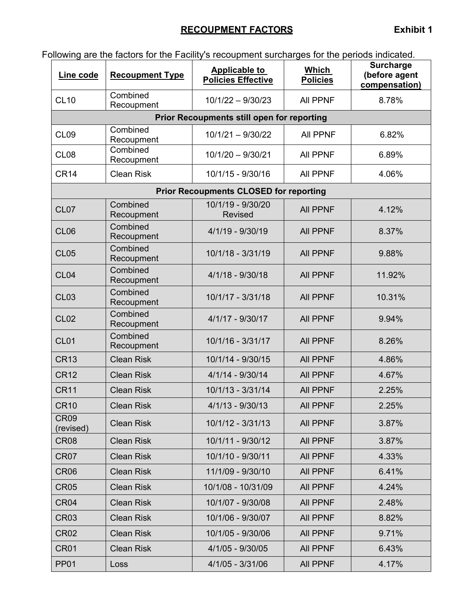# **RECOUPMENT FACTORS** Exhibit 1

| Line code                | <b>Recoupment Type</b> | <b>Applicable to</b><br><b>Policies Effective</b> | Which<br><b>Policies</b> | <b>Surcharge</b><br>(before agent<br>compensation) |
|--------------------------|------------------------|---------------------------------------------------|--------------------------|----------------------------------------------------|
| <b>CL10</b>              | Combined<br>Recoupment | $10/1/22 - 9/30/23$                               | <b>AII PPNF</b>          | 8.78%                                              |
|                          |                        | <b>Prior Recoupments still open for reporting</b> |                          |                                                    |
| <b>CL09</b>              | Combined<br>Recoupment | $10/1/21 - 9/30/22$                               | All PPNF                 | 6.82%                                              |
| CL <sub>08</sub>         | Combined<br>Recoupment | $10/1/20 - 9/30/21$                               | <b>All PPNF</b>          | 6.89%                                              |
| <b>CR14</b>              | <b>Clean Risk</b>      | 10/1/15 - 9/30/16                                 | <b>All PPNF</b>          | 4.06%                                              |
|                          |                        | <b>Prior Recoupments CLOSED for reporting</b>     |                          |                                                    |
| CL <sub>07</sub>         | Combined<br>Recoupment | 10/1/19 - 9/30/20<br><b>Revised</b>               | <b>All PPNF</b>          | 4.12%                                              |
| <b>CL06</b>              | Combined<br>Recoupment | 4/1/19 - 9/30/19                                  | <b>All PPNF</b>          | 8.37%                                              |
| <b>CL05</b>              | Combined<br>Recoupment | 10/1/18 - 3/31/19                                 | <b>AII PPNF</b>          | 9.88%                                              |
| CL <sub>04</sub>         | Combined<br>Recoupment | $4/1/18 - 9/30/18$                                | <b>AII PPNF</b>          | 11.92%                                             |
| <b>CL03</b>              | Combined<br>Recoupment | 10/1/17 - 3/31/18                                 | <b>AII PPNF</b>          | 10.31%                                             |
| <b>CL02</b>              | Combined<br>Recoupment | $4/1/17 - 9/30/17$                                | <b>AII PPNF</b>          | 9.94%                                              |
| CL <sub>01</sub>         | Combined<br>Recoupment | 10/1/16 - 3/31/17                                 | <b>AII PPNF</b>          | 8.26%                                              |
| <b>CR13</b>              | <b>Clean Risk</b>      | 10/1/14 - 9/30/15                                 | <b>All PPNF</b>          | 4.86%                                              |
| <b>CR12</b>              | <b>Clean Risk</b>      | $4/1/14 - 9/30/14$                                | <b>AII PPNF</b>          | 4.67%                                              |
| <b>CR11</b>              | <b>Clean Risk</b>      | 10/1/13 - 3/31/14                                 | <b>All PPNF</b>          | 2.25%                                              |
| <b>CR10</b>              | <b>Clean Risk</b>      | $4/1/13 - 9/30/13$                                | <b>All PPNF</b>          | 2.25%                                              |
| <b>CR09</b><br>(revised) | <b>Clean Risk</b>      | 10/1/12 - 3/31/13                                 | <b>All PPNF</b>          | 3.87%                                              |
| CR <sub>08</sub>         | <b>Clean Risk</b>      | 10/1/11 - 9/30/12                                 | <b>All PPNF</b>          | 3.87%                                              |
| <b>CR07</b>              | <b>Clean Risk</b>      | 10/1/10 - 9/30/11                                 | <b>All PPNF</b>          | 4.33%                                              |
| <b>CR06</b>              | <b>Clean Risk</b>      | 11/1/09 - 9/30/10                                 | <b>All PPNF</b>          | 6.41%                                              |
| <b>CR05</b>              | <b>Clean Risk</b>      | 10/1/08 - 10/31/09                                | <b>All PPNF</b>          | 4.24%                                              |
| CR <sub>04</sub>         | <b>Clean Risk</b>      | 10/1/07 - 9/30/08                                 | All PPNF                 | 2.48%                                              |
| <b>CR03</b>              | <b>Clean Risk</b>      | 10/1/06 - 9/30/07                                 | <b>All PPNF</b>          | 8.82%                                              |
| <b>CR02</b>              | <b>Clean Risk</b>      | 10/1/05 - 9/30/06                                 | <b>All PPNF</b>          | 9.71%                                              |
| <b>CR01</b>              | <b>Clean Risk</b>      | 4/1/05 - 9/30/05                                  | <b>All PPNF</b>          | 6.43%                                              |
| <b>PP01</b>              | Loss                   | 4/1/05 - 3/31/06                                  | All PPNF                 | 4.17%                                              |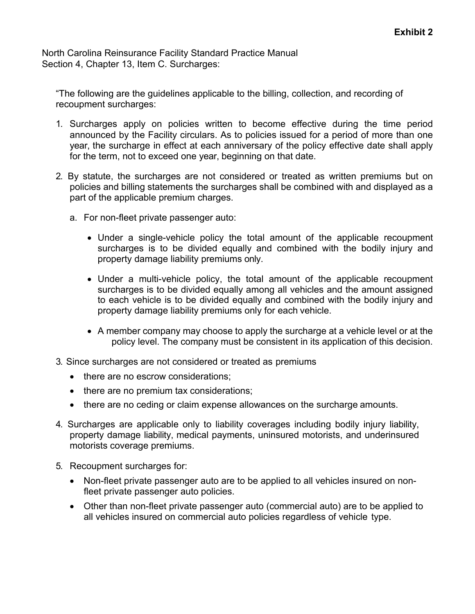North Carolina Reinsurance Facility Standard Practice Manual Section 4, Chapter 13, Item C. Surcharges:

"The following are the guidelines applicable to the billing, collection, and recording of recoupment surcharges:

- 1. Surcharges apply on policies written to become effective during the time period announced by the Facility circulars. As to policies issued for a period of more than one year, the surcharge in effect at each anniversary of the policy effective date shall apply for the term, not to exceed one year, beginning on that date.
- 2. By statute, the surcharges are not considered or treated as written premiums but on policies and billing statements the surcharges shall be combined with and displayed as a part of the applicable premium charges.
	- a. For non-fleet private passenger auto:
		- Under a single-vehicle policy the total amount of the applicable recoupment surcharges is to be divided equally and combined with the bodily injury and property damage liability premiums only.
		- Under a multi-vehicle policy, the total amount of the applicable recoupment surcharges is to be divided equally among all vehicles and the amount assigned to each vehicle is to be divided equally and combined with the bodily injury and property damage liability premiums only for each vehicle.
		- A member company may choose to apply the surcharge at a vehicle level or at the policy level. The company must be consistent in its application of this decision.
- 3. Since surcharges are not considered or treated as premiums
	- there are no escrow considerations:
	- there are no premium tax considerations;
	- there are no ceding or claim expense allowances on the surcharge amounts.
- 4. Surcharges are applicable only to liability coverages including bodily injury liability, property damage liability, medical payments, uninsured motorists, and underinsured motorists coverage premiums.
- 5. Recoupment surcharges for:
	- Non-fleet private passenger auto are to be applied to all vehicles insured on nonfleet private passenger auto policies.
	- Other than non-fleet private passenger auto (commercial auto) are to be applied to all vehicles insured on commercial auto policies regardless of vehicle type.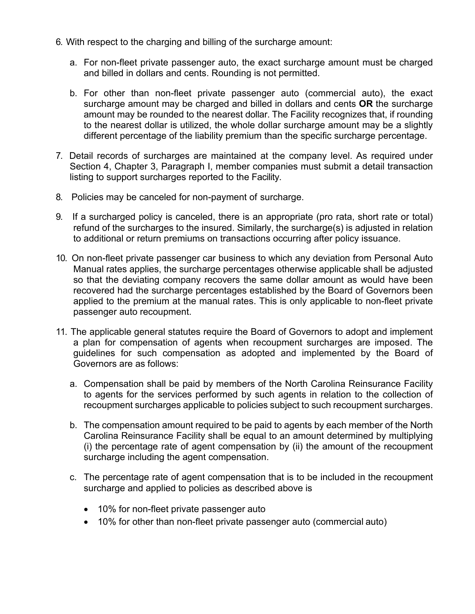- 6. With respect to the charging and billing of the surcharge amount:
	- a. For non-fleet private passenger auto, the exact surcharge amount must be charged and billed in dollars and cents. Rounding is not permitted.
	- b. For other than non-fleet private passenger auto (commercial auto), the exact surcharge amount may be charged and billed in dollars and cents **OR** the surcharge amount may be rounded to the nearest dollar. The Facility recognizes that, if rounding to the nearest dollar is utilized, the whole dollar surcharge amount may be a slightly different percentage of the liability premium than the specific surcharge percentage.
- 7. Detail records of surcharges are maintained at the company level. As required under Section 4, Chapter 3, Paragraph I, member companies must submit a detail transaction listing to support surcharges reported to the Facility.
- 8. Policies may be canceled for non-payment of surcharge.
- 9. If a surcharged policy is canceled, there is an appropriate (pro rata, short rate or total) refund of the surcharges to the insured. Similarly, the surcharge(s) is adjusted in relation to additional or return premiums on transactions occurring after policy issuance.
- 10. On non-fleet private passenger car business to which any deviation from Personal Auto Manual rates applies, the surcharge percentages otherwise applicable shall be adjusted so that the deviating company recovers the same dollar amount as would have been recovered had the surcharge percentages established by the Board of Governors been applied to the premium at the manual rates. This is only applicable to non-fleet private passenger auto recoupment.
- 11. The applicable general statutes require the Board of Governors to adopt and implement a plan for compensation of agents when recoupment surcharges are imposed. The guidelines for such compensation as adopted and implemented by the Board of Governors are as follows:
	- a. Compensation shall be paid by members of the North Carolina Reinsurance Facility to agents for the services performed by such agents in relation to the collection of recoupment surcharges applicable to policies subject to such recoupment surcharges.
	- b. The compensation amount required to be paid to agents by each member of the North Carolina Reinsurance Facility shall be equal to an amount determined by multiplying (i) the percentage rate of agent compensation by (ii) the amount of the recoupment surcharge including the agent compensation.
	- c. The percentage rate of agent compensation that is to be included in the recoupment surcharge and applied to policies as described above is
		- 10% for non-fleet private passenger auto
		- 10% for other than non-fleet private passenger auto (commercial auto)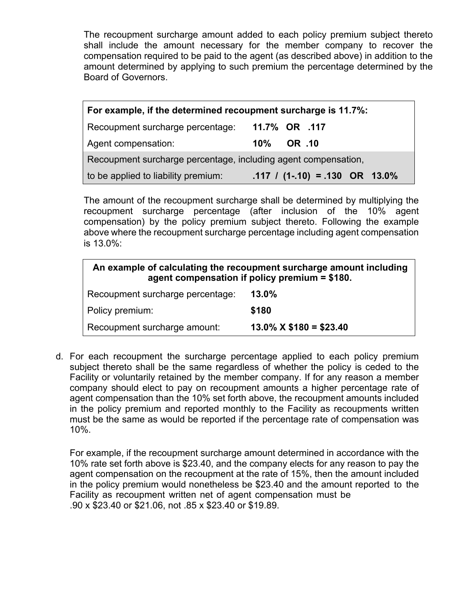The recoupment surcharge amount added to each policy premium subject thereto shall include the amount necessary for the member company to recover the compensation required to be paid to the agent (as described above) in addition to the amount determined by applying to such premium the percentage determined by the Board of Governors.

| For example, if the determined recoupment surcharge is 11.7%:  |                                            |  |  |  |
|----------------------------------------------------------------|--------------------------------------------|--|--|--|
| Recoupment surcharge percentage:                               | 11.7% OR .117                              |  |  |  |
| Agent compensation:                                            | OR .10<br>$10\%$                           |  |  |  |
| Recoupment surcharge percentage, including agent compensation, |                                            |  |  |  |
| to be applied to liability premium:                            | $.117 / (1-.10) = .130 \text{ OR } 13.0\%$ |  |  |  |

The amount of the recoupment surcharge shall be determined by multiplying the recoupment surcharge percentage (after inclusion of the 10% agent compensation) by the policy premium subject thereto. Following the example above where the recoupment surcharge percentage including agent compensation is 13.0%:

| An example of calculating the recoupment surcharge amount including<br>agent compensation if policy premium $= $180$ . |                            |  |  |
|------------------------------------------------------------------------------------------------------------------------|----------------------------|--|--|
| Recoupment surcharge percentage:                                                                                       | 13.0%                      |  |  |
| Policy premium:                                                                                                        | \$180                      |  |  |
| Recoupment surcharge amount:                                                                                           | $13.0\%$ X \$180 = \$23.40 |  |  |

d. For each recoupment the surcharge percentage applied to each policy premium subject thereto shall be the same regardless of whether the policy is ceded to the Facility or voluntarily retained by the member company. If for any reason a member company should elect to pay on recoupment amounts a higher percentage rate of agent compensation than the 10% set forth above, the recoupment amounts included in the policy premium and reported monthly to the Facility as recoupments written must be the same as would be reported if the percentage rate of compensation was 10%.

For example, if the recoupment surcharge amount determined in accordance with the 10% rate set forth above is \$23.40, and the company elects for any reason to pay the agent compensation on the recoupment at the rate of 15%, then the amount included in the policy premium would nonetheless be \$23.40 and the amount reported to the Facility as recoupment written net of agent compensation must be .90 x \$23.40 or \$21.06, not .85 x \$23.40 or \$19.89.